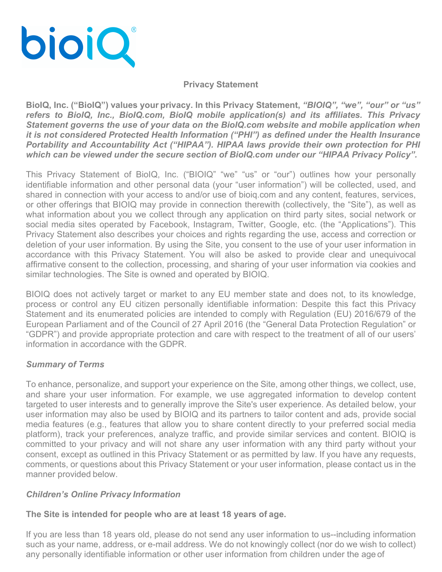

## **Privacy Statement**

**BioIQ, Inc. ("BioIQ") values your privacy. In this Privacy Statement,** *"BIOIQ", "we", "our" or "us" refers to BioIQ, Inc., BioIQ.com, BioIQ mobile application(s) and its affiliates. This Privacy Statement governs the use of your data on the BioIQ.com website and mobile application when it is not considered Protected Health Information ("PHI") as defined under the Health Insurance Portability and Accountability Act ("HIPAA"). HIPAA laws provide their own protection for PHI which can be viewed under the secure section of BioIQ.com under our "HIPAA Privacy Policy".*

This Privacy Statement of BioIQ, Inc. ("BIOIQ" "we" "us" or "our") outlines how your personally identifiable information and other personal data (your "user information") will be collected, used, and shared in connection with your access to and/or use of bioiq.com and any content, features, services, or other offerings that BIOIQ may provide in connection therewith (collectively, the "Site"), as well as what information about you we collect through any application on third party sites, social network or social media sites operated by Facebook, Instagram, Twitter, Google, etc. (the "Applications"). This Privacy Statement also describes your choices and rights regarding the use, access and correction or deletion of your user information. By using the Site, you consent to the use of your user information in accordance with this Privacy Statement. You will also be asked to provide clear and unequivocal affirmative consent to the collection, processing, and sharing of your user information via cookies and similar technologies. The Site is owned and operated by BIOIQ.

BIOIQ does not actively target or market to any EU member state and does not, to its knowledge, process or control any EU citizen personally identifiable information: Despite this fact this Privacy Statement and its enumerated policies are intended to comply with Regulation (EU) 2016/679 of the European Parliament and of the Council of 27 April 2016 (the "General Data Protection Regulation" or "GDPR") and provide appropriate protection and care with respect to the treatment of all of our users' information in accordance with the GDPR.

# *Summary of Terms*

To enhance, personalize, and support your experience on the Site, among other things, we collect, use, and share your user information. For example, we use aggregated information to develop content targeted to user interests and to generally improve the Site's user experience. As detailed below, your user information may also be used by BIOIQ and its partners to tailor content and ads, provide social media features (e.g., features that allow you to share content directly to your preferred social media platform), track your preferences, analyze traffic, and provide similar services and content. BIOIQ is committed to your privacy and will not share any user information with any third party without your consent, except as outlined in this Privacy Statement or as permitted by law. If you have any requests, comments, or questions about this Privacy Statement or your user information, please contact us in the manner provided below.

# *Children's Online Privacy Information*

**The Site is intended for people who are at least 18 years of age.**

If you are less than 18 years old, please do not send any user information to us--including information such as your name, address, or e-mail address. We do not knowingly collect (nor do we wish to collect) any personally identifiable information or other user information from children under the age of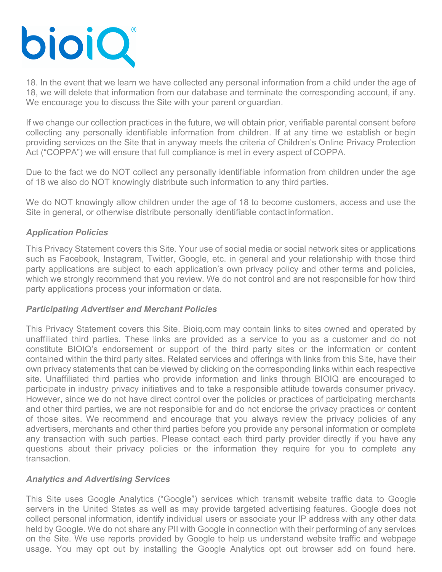

18. In the event that we learn we have collected any personal information from a child under the age of 18, we will delete that information from our database and terminate the corresponding account, if any. We encourage you to discuss the Site with your parent or quardian.

If we change our collection practices in the future, we will obtain prior, verifiable parental consent before collecting any personally identifiable information from children. If at any time we establish or begin providing services on the Site that in anyway meets the criteria of Children's Online Privacy Protection Act ("COPPA") we will ensure that full compliance is met in every aspect of COPPA.

Due to the fact we do NOT collect any personally identifiable information from children under the age of 18 we also do NOT knowingly distribute such information to any third parties.

We do NOT knowingly allow children under the age of 18 to become customers, access and use the Site in general, or otherwise distribute personally identifiable contact information.

# *Application Policies*

This Privacy Statement covers this Site. Your use of social media or social network sites or applications such as Facebook, Instagram, Twitter, Google, etc. in general and your relationship with those third party applications are subject to each application's own privacy policy and other terms and policies, which we strongly recommend that you review. We do not control and are not responsible for how third party applications process your information or data.

## *Participating Advertiser and Merchant Policies*

This Privacy Statement covers this Site. Bioiq.com may contain links to sites owned and operated by unaffiliated third parties. These links are provided as a service to you as a customer and do not constitute BIOIQ's endorsement or support of the third party sites or the information or content contained within the third party sites. Related services and offerings with links from this Site, have their own privacy statements that can be viewed by clicking on the corresponding links within each respective site. Unaffiliated third parties who provide information and links through BIOIQ are encouraged to participate in industry privacy initiatives and to take a responsible attitude towards consumer privacy. However, since we do not have direct control over the policies or practices of participating merchants and other third parties, we are not responsible for and do not endorse the privacy practices or content of those sites. We recommend and encourage that you always review the privacy policies of any advertisers, merchants and other third parties before you provide any personal information or complete any transaction with such parties. Please contact each third party provider directly if you have any questions about their privacy policies or the information they require for you to complete any transaction.

## *Analytics and Advertising Services*

This Site uses Google Analytics ("Google") services which transmit website traffic data to Google servers in the United States as well as may provide targeted advertising features. Google does not collect personal information, identify individual users or associate your IP address with any other data held by Google. We do not share any PII with Google in connection with their performing of any services on the Site. We use reports provided by Google to help us understand website traffic and webpage usage. You may opt out by installing the Google Analytics opt out browser add on found here.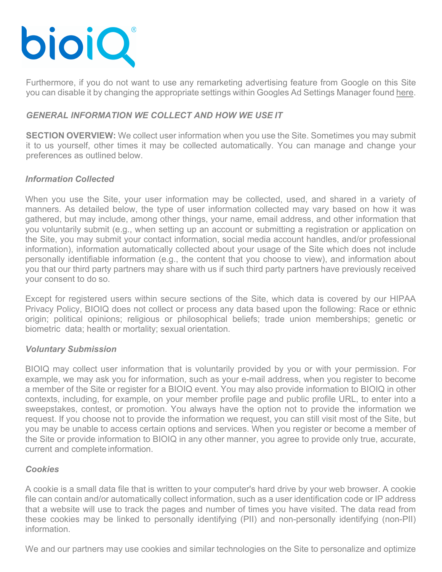

Furthermore, if you do not want to use any remarketing advertising feature from Google on this Site you can disable it by changing the appropriate settings within Googles Ad Settings Manager found here.

# *GENERAL INFORMATION WE COLLECT AND HOW WE USE IT*

**SECTION OVERVIEW:** We collect user information when you use the Site. Sometimes you may submit it to us yourself, other times it may be collected automatically. You can manage and change your preferences as outlined below.

# *Information Collected*

When you use the Site, your user information may be collected, used, and shared in a variety of manners. As detailed below, the type of user information collected may vary based on how it was gathered, but may include, among other things, your name, email address, and other information that you voluntarily submit (e.g., when setting up an account or submitting a registration or application on the Site, you may submit your contact information, social media account handles, and/or professional information), information automatically collected about your usage of the Site which does not include personally identifiable information (e.g., the content that you choose to view), and information about you that our third party partners may share with us if such third party partners have previously received your consent to do so.

Except for registered users within secure sections of the Site, which data is covered by our HIPAA Privacy Policy, BIOIQ does not collect or process any data based upon the following: Race or ethnic origin; political opinions; religious or philosophical beliefs; trade union memberships; genetic or biometric data; health or mortality; sexual orientation.

## *Voluntary Submission*

BIOIQ may collect user information that is voluntarily provided by you or with your permission. For example, we may ask you for information, such as your e-mail address, when you register to become a member of the Site or register for a BIOIQ event. You may also provide information to BIOIQ in other contexts, including, for example, on your member profile page and public profile URL, to enter into a sweepstakes, contest, or promotion. You always have the option not to provide the information we request. If you choose not to provide the information we request, you can still visit most of the Site, but you may be unable to access certain options and services. When you register or become a member of the Site or provide information to BIOIQ in any other manner, you agree to provide only true, accurate, current and complete information.

## *Cookies*

A cookie is a small data file that is written to your computer's hard drive by your web browser. A cookie file can contain and/or automatically collect information, such as a user identification code or IP address that a website will use to track the pages and number of times you have visited. The data read from these cookies may be linked to personally identifying (PII) and non-personally identifying (non-PII) information.

We and our partners may use cookies and similar technologies on the Site to personalize and optimize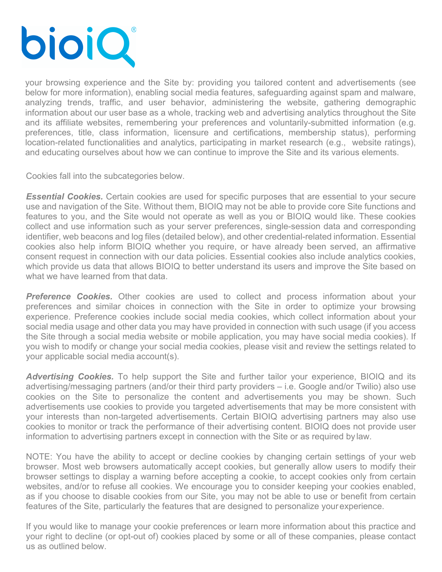

your browsing experience and the Site by: providing you tailored content and advertisements (see below for more information), enabling social media features, safeguarding against spam and malware, analyzing trends, traffic, and user behavior, administering the website, gathering demographic information about our user base as a whole, tracking web and advertising analytics throughout the Site and its affiliate websites, remembering your preferences and voluntarily-submitted information (e.g. preferences, title, class information, licensure and certifications, membership status), performing location-related functionalities and analytics, participating in market research (e.g., website ratings), and educating ourselves about how we can continue to improve the Site and its various elements.

Cookies fall into the subcategories below.

*Essential Cookies.* Certain cookies are used for specific purposes that are essential to your secure use and navigation of the Site. Without them, BIOIQ may not be able to provide core Site functions and features to you, and the Site would not operate as well as you or BIOIQ would like. These cookies collect and use information such as your server preferences, single-session data and corresponding identifier, web beacons and log files (detailed below), and other credential-related information. Essential cookies also help inform BIOIQ whether you require, or have already been served, an affirmative consent request in connection with our data policies. Essential cookies also include analytics cookies, which provide us data that allows BIOIQ to better understand its users and improve the Site based on what we have learned from that data.

**Preference Cookies.** Other cookies are used to collect and process information about your preferences and similar choices in connection with the Site in order to optimize your browsing experience. Preference cookies include social media cookies, which collect information about your social media usage and other data you may have provided in connection with such usage (if you access the Site through a social media website or mobile application, you may have social media cookies). If you wish to modify or change your social media cookies, please visit and review the settings related to your applicable social media account(s).

*Advertising Cookies.* To help support the Site and further tailor your experience, BIOIQ and its advertising/messaging partners (and/or their third party providers – i.e. Google and/or Twilio) also use cookies on the Site to personalize the content and advertisements you may be shown. Such advertisements use cookies to provide you targeted advertisements that may be more consistent with your interests than non-targeted advertisements. Certain BIOIQ advertising partners may also use cookies to monitor or track the performance of their advertising content. BIOIQ does not provide user information to advertising partners except in connection with the Site or as required by law.

NOTE: You have the ability to accept or decline cookies by changing certain settings of your web browser. Most web browsers automatically accept cookies, but generally allow users to modify their browser settings to display a warning before accepting a cookie, to accept cookies only from certain websites, and/or to refuse all cookies. We encourage you to consider keeping your cookies enabled, as if you choose to disable cookies from our Site, you may not be able to use or benefit from certain features of the Site, particularly the features that are designed to personalize yourexperience.

If you would like to manage your cookie preferences or learn more information about this practice and your right to decline (or opt-out of) cookies placed by some or all of these companies, please contact us as outlined below.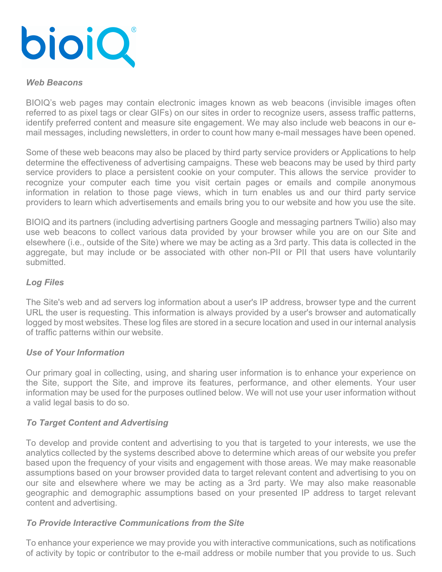

#### *Web Beacons*

BIOIQ's web pages may contain electronic images known as web beacons (invisible images often referred to as pixel tags or clear GIFs) on our sites in order to recognize users, assess traffic patterns, identify preferred content and measure site engagement. We may also include web beacons in our email messages, including newsletters, in order to count how many e-mail messages have been opened.

Some of these web beacons may also be placed by third party service providers or Applications to help determine the effectiveness of advertising campaigns. These web beacons may be used by third party service providers to place a persistent cookie on your computer. This allows the service provider to recognize your computer each time you visit certain pages or emails and compile anonymous information in relation to those page views, which in turn enables us and our third party service providers to learn which advertisements and emails bring you to our website and how you use the site.

BIOIQ and its partners (including advertising partners Google and messaging partners Twilio) also may use web beacons to collect various data provided by your browser while you are on our Site and elsewhere (i.e., outside of the Site) where we may be acting as a 3rd party. This data is collected in the aggregate, but may include or be associated with other non-PII or PII that users have voluntarily submitted.

## *Log Files*

The Site's web and ad servers log information about a user's IP address, browser type and the current URL the user is requesting. This information is always provided by a user's browser and automatically logged by most websites. These log files are stored in a secure location and used in our internal analysis of traffic patterns within our website.

## *Use of Your Information*

Our primary goal in collecting, using, and sharing user information is to enhance your experience on the Site, support the Site, and improve its features, performance, and other elements. Your user information may be used for the purposes outlined below. We will not use your user information without a valid legal basis to do so.

# *To Target Content and Advertising*

To develop and provide content and advertising to you that is targeted to your interests, we use the analytics collected by the systems described above to determine which areas of our website you prefer based upon the frequency of your visits and engagement with those areas. We may make reasonable assumptions based on your browser provided data to target relevant content and advertising to you on our site and elsewhere where we may be acting as a 3rd party. We may also make reasonable geographic and demographic assumptions based on your presented IP address to target relevant content and advertising.

#### *To Provide Interactive Communications from the Site*

To enhance your experience we may provide you with interactive communications, such as notifications of activity by topic or contributor to the e-mail address or mobile number that you provide to us. Such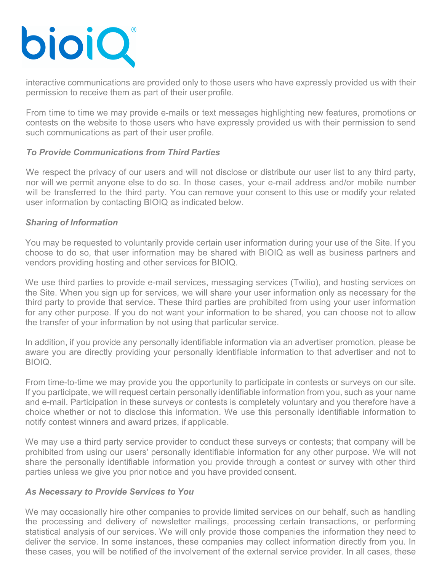

interactive communications are provided only to those users who have expressly provided us with their permission to receive them as part of their user profile.

From time to time we may provide e-mails or text messages highlighting new features, promotions or contests on the website to those users who have expressly provided us with their permission to send such communications as part of their user profile.

# *To Provide Communications from Third Parties*

We respect the privacy of our users and will not disclose or distribute our user list to any third party, nor will we permit anyone else to do so. In those cases, your e-mail address and/or mobile number will be transferred to the third party. You can remove your consent to this use or modify your related user information by contacting BIOIQ as indicated below.

## *Sharing of Information*

You may be requested to voluntarily provide certain user information during your use of the Site. If you choose to do so, that user information may be shared with BIOIQ as well as business partners and vendors providing hosting and other services for BIOIQ.

We use third parties to provide e-mail services, messaging services (Twilio), and hosting services on the Site. When you sign up for services, we will share your user information only as necessary for the third party to provide that service. These third parties are prohibited from using your user information for any other purpose. If you do not want your information to be shared, you can choose not to allow the transfer of your information by not using that particular service.

In addition, if you provide any personally identifiable information via an advertiser promotion, please be aware you are directly providing your personally identifiable information to that advertiser and not to BIOIQ.

From time-to-time we may provide you the opportunity to participate in contests or surveys on our site. If you participate, we will request certain personally identifiable information from you, such as your name and e-mail. Participation in these surveys or contests is completely voluntary and you therefore have a choice whether or not to disclose this information. We use this personally identifiable information to notify contest winners and award prizes, if applicable.

We may use a third party service provider to conduct these surveys or contests; that company will be prohibited from using our users' personally identifiable information for any other purpose. We will not share the personally identifiable information you provide through a contest or survey with other third parties unless we give you prior notice and you have provided consent.

## *As Necessary to Provide Services to You*

We may occasionally hire other companies to provide limited services on our behalf, such as handling the processing and delivery of newsletter mailings, processing certain transactions, or performing statistical analysis of our services. We will only provide those companies the information they need to deliver the service. In some instances, these companies may collect information directly from you. In these cases, you will be notified of the involvement of the external service provider. In all cases, these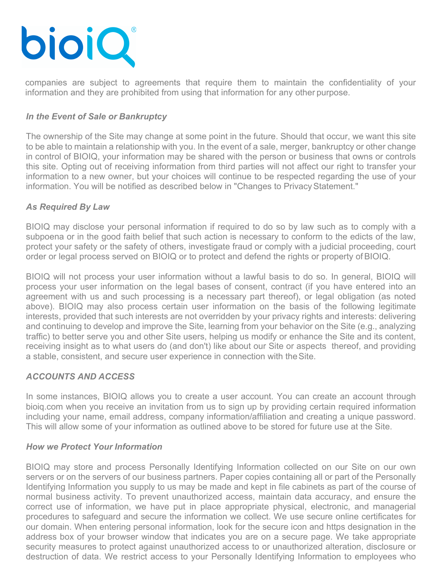

companies are subject to agreements that require them to maintain the confidentiality of your information and they are prohibited from using that information for any other purpose.

# *In the Event of Sale or Bankruptcy*

The ownership of the Site may change at some point in the future. Should that occur, we want this site to be able to maintain a relationship with you. In the event of a sale, merger, bankruptcy or other change in control of BIOIQ, your information may be shared with the person or business that owns or controls this site. Opting out of receiving information from third parties will not affect our right to transfer your information to a new owner, but your choices will continue to be respected regarding the use of your information. You will be notified as described below in "Changes to Privacy Statement."

## *As Required By Law*

BIOIQ may disclose your personal information if required to do so by law such as to comply with a subpoena or in the good faith belief that such action is necessary to conform to the edicts of the law, protect your safety or the safety of others, investigate fraud or comply with a judicial proceeding, court order or legal process served on BIOIQ or to protect and defend the rights or property ofBIOIQ.

BIOIQ will not process your user information without a lawful basis to do so. In general, BIOIQ will process your user information on the legal bases of consent, contract (if you have entered into an agreement with us and such processing is a necessary part thereof), or legal obligation (as noted above). BIOIQ may also process certain user information on the basis of the following legitimate interests, provided that such interests are not overridden by your privacy rights and interests: delivering and continuing to develop and improve the Site, learning from your behavior on the Site (e.g., analyzing traffic) to better serve you and other Site users, helping us modify or enhance the Site and its content, receiving insight as to what users do (and don't) like about our Site or aspects thereof, and providing a stable, consistent, and secure user experience in connection with theSite.

# *ACCOUNTS AND ACCESS*

In some instances, BIOIQ allows you to create a user account. You can create an account through bioiq.com when you receive an invitation from us to sign up by providing certain required information including your name, email address, company information/affiliation and creating a unique password. This will allow some of your information as outlined above to be stored for future use at the Site.

## *How we Protect Your Information*

BIOIQ may store and process Personally Identifying Information collected on our Site on our own servers or on the servers of our business partners. Paper copies containing all or part of the Personally Identifying Information you supply to us may be made and kept in file cabinets as part of the course of normal business activity. To prevent unauthorized access, maintain data accuracy, and ensure the correct use of information, we have put in place appropriate physical, electronic, and managerial procedures to safeguard and secure the information we collect. We use secure online certificates for our domain. When entering personal information, look for the secure icon and https designation in the address box of your browser window that indicates you are on a secure page. We take appropriate security measures to protect against unauthorized access to or unauthorized alteration, disclosure or destruction of data. We restrict access to your Personally Identifying Information to employees who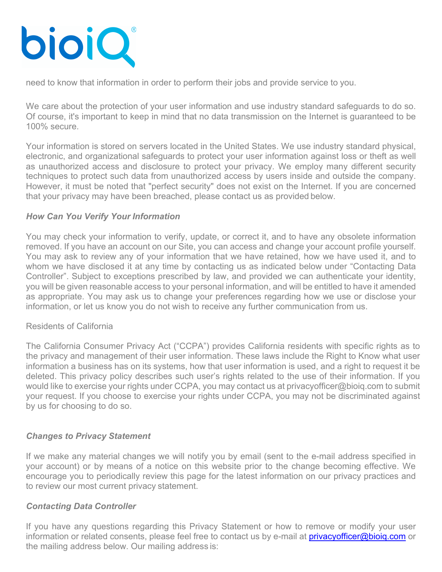

need to know that information in order to perform their jobs and provide service to you.

We care about the protection of your user information and use industry standard safeguards to do so. Of course, it's important to keep in mind that no data transmission on the Internet is guaranteed to be 100% secure.

Your information is stored on servers located in the United States. We use industry standard physical, electronic, and organizational safeguards to protect your user information against loss or theft as well as unauthorized access and disclosure to protect your privacy. We employ many different security techniques to protect such data from unauthorized access by users inside and outside the company. However, it must be noted that "perfect security" does not exist on the Internet. If you are concerned that your privacy may have been breached, please contact us as provided below.

# *How Can You Verify Your Information*

You may check your information to verify, update, or correct it, and to have any obsolete information removed. If you have an account on our Site, you can access and change your account profile yourself. You may ask to review any of your information that we have retained, how we have used it, and to whom we have disclosed it at any time by contacting us as indicated below under "Contacting Data Controller". Subject to exceptions prescribed by law, and provided we can authenticate your identity, you will be given reasonable access to your personal information, and will be entitled to have it amended as appropriate. You may ask us to change your preferences regarding how we use or disclose your information, or let us know you do not wish to receive any further communication from us.

## Residents of California

The California Consumer Privacy Act ("CCPA") provides California residents with specific rights as to the privacy and management of their user information. These laws include the Right to Know what user information a business has on its systems, how that user information is used, and a right to request it be deleted. This privacy policy describes such user's rights related to the use of their information. If you would like to exercise your rights under CCPA, you may contact us at privacyofficer@bioiq.com to submit your request. If you choose to exercise your rights under CCPA, you may not be discriminated against by us for choosing to do so.

## *Changes to Privacy Statement*

If we make any material changes we will notify you by email (sent to the e-mail address specified in your account) or by means of a notice on this website prior to the change becoming effective. We encourage you to periodically review this page for the latest information on our privacy practices and to review our most current privacy statement.

## *Contacting Data Controller*

If you have any questions regarding this Privacy Statement or how to remove or modify your user information or related consents, please feel free to contact us by e-mail at **privacyofficer@bioiq.com** or the mailing address below. Our mailing address is: